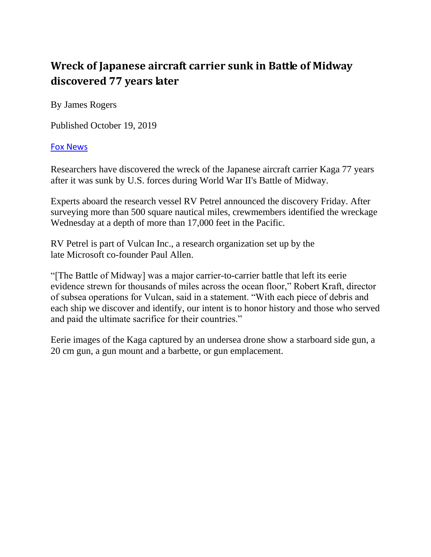## **Wreck of Japanese aircraft carrier sunk in Battle of Midway discovered 77 years later**

By James Rogers

Published October 19, 2019

## [Fox News](http://www.foxnews.com/)

Researchers have discovered the wreck of the Japanese aircraft carrier Kaga 77 years after it was sunk by U.S. forces during World War II's Battle of Midway.

Experts aboard the research vessel RV Petrel announced the discovery Friday. After surveying more than 500 square nautical miles, crewmembers identified the wreckage Wednesday at a depth of more than 17,000 feet in the Pacific.

RV Petrel is part of Vulcan Inc., a research organization set up by the late Microsoft co-founder Paul Allen.

"[The Battle of Midway] was a major carrier-to-carrier battle that left its eerie evidence strewn for thousands of miles across the ocean floor," Robert Kraft, director of subsea operations for Vulcan, said in a statement. "With each piece of debris and each ship we discover and identify, our intent is to honor history and those who served and paid the ultimate sacrifice for their countries."

Eerie images of the Kaga captured by an undersea drone show a starboard side gun, a 20 cm gun, a gun mount and a barbette, or gun emplacement.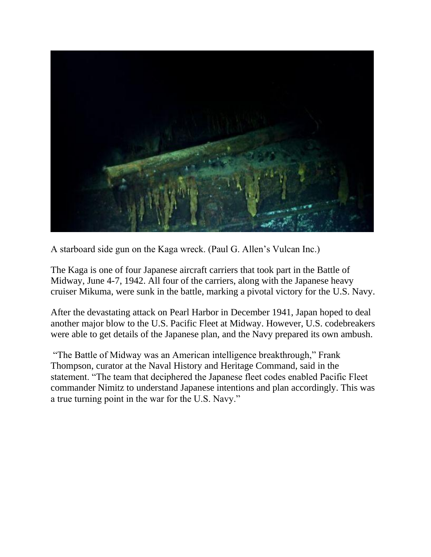

A starboard side gun on the Kaga wreck. (Paul G. Allen's Vulcan Inc.)

The Kaga is one of four Japanese aircraft carriers that took part in the Battle of Midway, June 4-7, 1942. All four of the carriers, along with the Japanese heavy cruiser Mikuma, were sunk in the battle, marking a pivotal victory for the U.S. Navy.

After the devastating attack on Pearl Harbor in December 1941, Japan hoped to deal another major blow to the U.S. Pacific Fleet at Midway. However, U.S. codebreakers were able to get details of the Japanese plan, and the Navy prepared its own ambush.

"The Battle of Midway was an American intelligence breakthrough," Frank Thompson, curator at the Naval History and Heritage Command, said in the statement. "The team that deciphered the Japanese fleet codes enabled Pacific Fleet commander Nimitz to understand Japanese intentions and plan accordingly. This was a true turning point in the war for the U.S. Navy."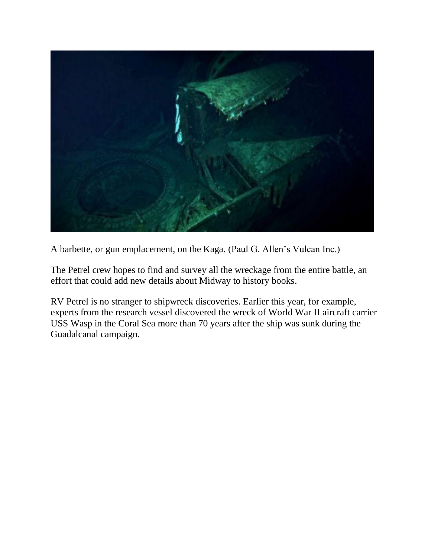

A barbette, or gun emplacement, on the Kaga. (Paul G. Allen's Vulcan Inc.)

The Petrel crew hopes to find and survey all the wreckage from the entire battle, an effort that could add new details about Midway to history books.

RV Petrel is no stranger to shipwreck discoveries. Earlier this year, for example, experts from the research vessel discovered the wreck of World War II aircraft carrier USS Wasp in the Coral Sea more than 70 years after the ship was sunk during the Guadalcanal campaign.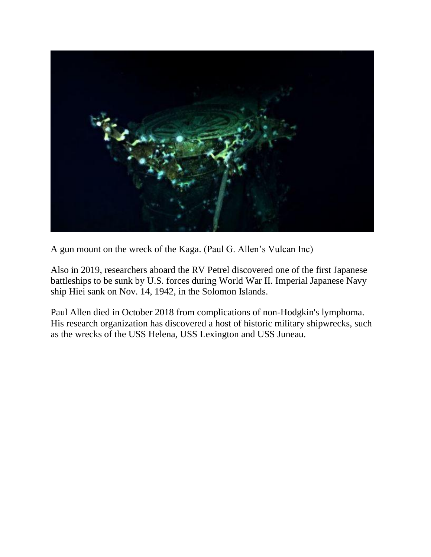

A gun mount on the wreck of the Kaga. (Paul G. Allen's Vulcan Inc)

Also in 2019, researchers aboard the RV Petrel discovered one of the first Japanese battleships to be sunk by U.S. forces during World War II. Imperial Japanese Navy ship Hiei sank on Nov. 14, 1942, in the Solomon Islands.

Paul Allen died in October 2018 from complications of non-Hodgkin's lymphoma. His research organization has discovered a host of historic military shipwrecks, such as the wrecks of the USS Helena, USS Lexington and USS Juneau.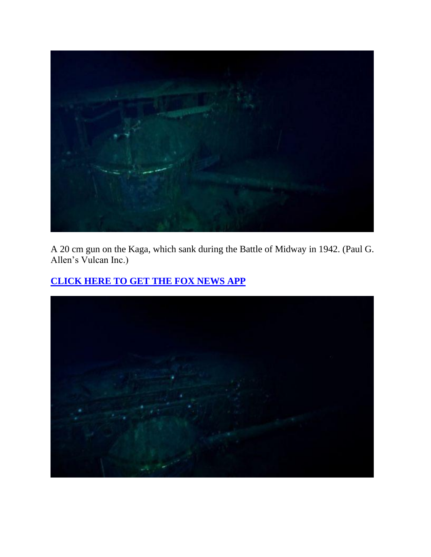

A 20 cm gun on the Kaga, which sank during the Battle of Midway in 1942. (Paul G. Allen's Vulcan Inc.)

## **[CLICK HERE TO GET THE FOX NEWS APP](https://www.foxnews.com/apps-products)**